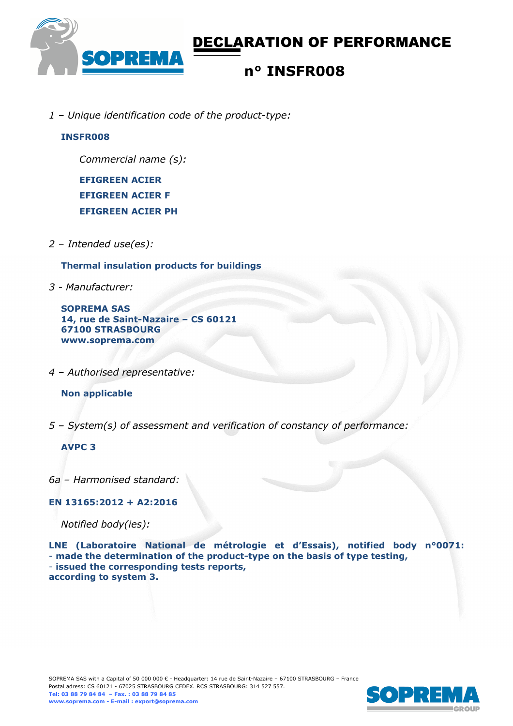

*1 – Unique identification code of the product-type:*

### **INSFR008**

*Commercial name (s):* 

**EFIGREEN ACIER EFIGREEN ACIER F EFIGREEN ACIER PH** 

*2 – Intended use(es):* 

**Thermal insulation products for buildings** 

*3 - Manufacturer:* 

**SOPREMA SAS 14, rue de Saint-Nazaire – CS 60121 67100 STRASBOURG www.soprema.com** 

*4 – Authorised representative:* 

**Non applicable** 

*5 – System(s) of assessment and verification of constancy of performance:* 

### **AVPC 3**

*6a – Harmonised standard:* 

### **EN 13165:2012 + A2:2016**

*Notified body(ies):* 

**LNE (Laboratoire National de métrologie et d'Essais), notified body n°0071:**  - **made the determination of the product-type on the basis of type testing,**  - **issued the corresponding tests reports, according to system 3.**